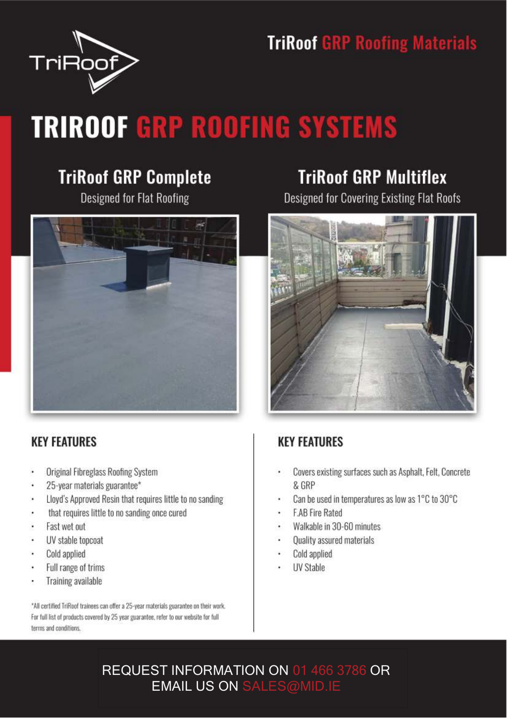



# **TRIROOF GRP ROOFING SYSTEMS**

#### **TriRoof GRP Complete**

**Designed for Flat Roofing** 



#### **KEY FEATURES**

- **Original Fibreglass Roofing System**
- 25-year materials guarantee\*
- Lloyd's Approved Resin that requires little to no sanding
- that requires little to no sanding once cured
- Fast wet out
- UV stable topcoat
- Cold applied
- Full range of trims
- Training available

\*All certified TriRoof trainees can offer a 25-year materials guarantee on their work. For full list of products covered by 25 year guarantee, refer to our website for full terms and conditions.

#### **TriRoof GRP Multiflex**

Designed for Covering Existing Flat Roofs



#### **KEY FEATURES**

- Covers existing surfaces such as Asphalt, Felt, Concrete & GRP
- Can be used in temperatures as low as 1°C to 30°C
- **F.AB Fire Rated**
- Walkable in 30-60 minutes
- Quality assured materials
- Cold applied
- **UV Stable**

#### REQUEST INFORMATION ON 01 466 3786 OR **EMAIL US ON SALES@MID.IE**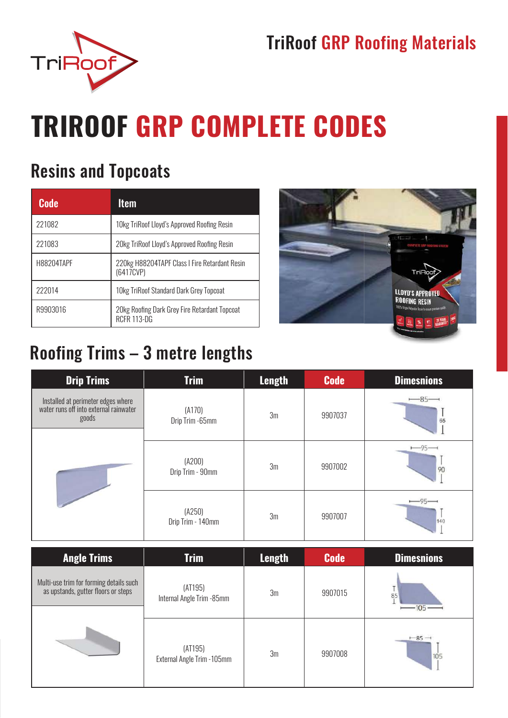#### **TriRoof GRP Roofing Materials**



# **TRIROOF GRP COMPLETE CODES**

#### **Resins and Topcoats**

| <b>Code</b> | Item                                                                |
|-------------|---------------------------------------------------------------------|
| 221082      | 10kg TriRoof Lloyd's Approved Roofing Resin                         |
| 221083      | 20kg TriRoof Lloyd's Approved Roofing Resin                         |
| H88204TAPF  | 220kg H88204TAPF Class I Fire Retardant Resin<br>(6417CVP)          |
| 222014      | 10kg TriRoof Standard Dark Grey Topcoat                             |
| R9903016    | 20kg Roofing Dark Grey Fire Retardant Topcoat<br><b>RCFR 113-DG</b> |



#### Roofing Trims - 3 metre lengths

| <b>Drip Trims</b>                                                                     | <b>Trim</b>                 | <b>Length</b> | <b>Code</b> | <b>Dimesnions</b> |
|---------------------------------------------------------------------------------------|-----------------------------|---------------|-------------|-------------------|
| Installed at perimeter edges where<br>water runs off into external rainwater<br>goods | (A170)<br>Drip Trim -65mm   | 3m            | 9907037     | $-85-$<br>65      |
|                                                                                       | (A200)<br>Drip Trim - 90mm  | 3m            | 9907002     | -95<br>90         |
|                                                                                       | (A250)<br>Drip Trim - 140mm | 3m            | 9907007     | $-95-$<br>140     |

| <b>Angle Trims</b>                                                             | <b>Trim</b>                            | <b>Length</b> | <b>Code</b> | <b>Dimesnions</b> |
|--------------------------------------------------------------------------------|----------------------------------------|---------------|-------------|-------------------|
| Multi-use trim for forming details such<br>as upstands, gutter floors or steps | (AT195)<br>Internal Angle Trim -85mm   | 3m            | 9907015     | 85<br>105         |
|                                                                                | (AT195)<br>External Angle Trim - 105mm | 3m            | 9907008     | $-85-$<br>105     |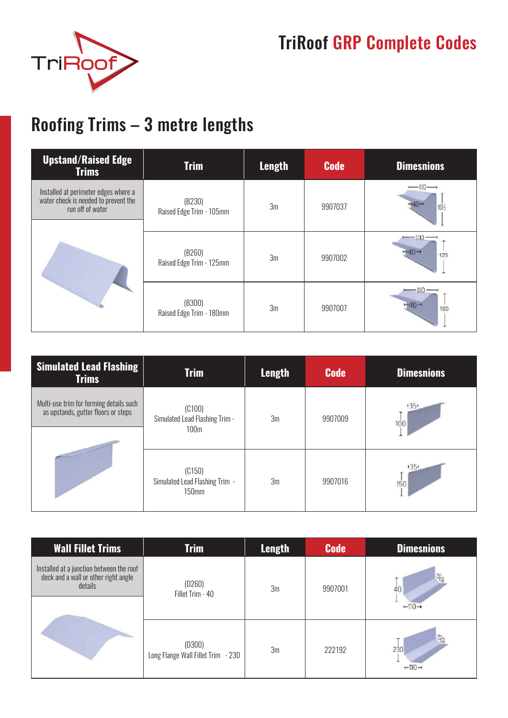

## TriRoof GRP Complete Codes

## Roofing Trims – 3 metre lengths

| <b>Upstand/Raised Edge</b><br><b>Trims</b>                                                       | <b>Trim</b>                        | <b>Length</b> | <b>Code</b> | <b>Dimesnions</b>        |
|--------------------------------------------------------------------------------------------------|------------------------------------|---------------|-------------|--------------------------|
| Installed at perimeter edges where a<br>water check is needed to prevent the<br>run off of water | (B230)<br>Raised Edge Trim - 105mm | 3m            | 9907037     | $-110-$<br>105           |
|                                                                                                  | (B260)<br>Raised Edge Trim - 125mm | 3m            | 9907002     | $-110-$<br>$-40-$<br>125 |
|                                                                                                  | (B300)<br>Raised Edge Trim - 180mm | 3m            | 9907007     | $-110-$<br>-40<br>180    |

| <b>Simulated Lead Flashing</b><br><b>Trims</b>                                 | <b>Trim</b>                                                  | <b>Length</b> | <b>Code</b> | <b>Dimesnions</b> |
|--------------------------------------------------------------------------------|--------------------------------------------------------------|---------------|-------------|-------------------|
| Multi-use trim for forming details such<br>as upstands, gutter floors or steps | (C100)<br>Simulated Lead Flashing Trim -<br>100 <sub>m</sub> | 3m            | 9907009     | $+35+$<br>100     |
|                                                                                | (C150)<br>Simulated Lead Flashing Trim -<br><b>150mm</b>     | 3m            | 9907016     | 1351<br>150       |

| <b>Wall Fillet Trims</b>                                                                    | <b>Trim</b>                                  | <b>Length</b> | <b>Code</b> | <b>Dimesnions</b>                   |
|---------------------------------------------------------------------------------------------|----------------------------------------------|---------------|-------------|-------------------------------------|
| Installed at a junction between the roof<br>deck and a wall or other right angle<br>details | (D260)<br>Fillet Trim - 40                   | 3m            | 9907001     | $\mathcal{S}_{Q}$<br>40<br>$-110-$  |
|                                                                                             | (D300)<br>Long Flange Wall Fillet Trim - 230 | 3m            | 222192      | $\mathcal{S}_{Q}$<br>230<br>$-110-$ |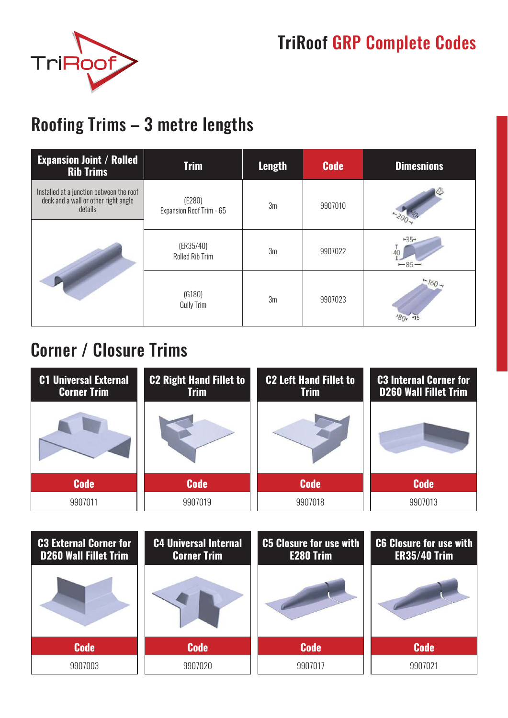



#### Roofing Trims – 3 metre lengths

| <b>Expansion Joint / Rolled</b><br><b>Rib Trims</b>                                         | <b>Trim</b>                         | <b>Length</b>  | <b>Code</b> | <b>Dimesnions</b> |
|---------------------------------------------------------------------------------------------|-------------------------------------|----------------|-------------|-------------------|
| Installed at a junction between the roof<br>deck and a wall or other right angle<br>details | (E280)<br>Expansion Roof Trim - 65  | 3m             | 9907010     |                   |
|                                                                                             | (ER35/40)<br><b>Rolled Rib Trim</b> | 3 <sub>m</sub> | 9907022     | $+35+$<br>$-85-$  |
|                                                                                             | (G180)<br>Gully Trim                | 3 <sub>m</sub> | 9907023     | $-160-$           |

#### Corner / Closure Trims